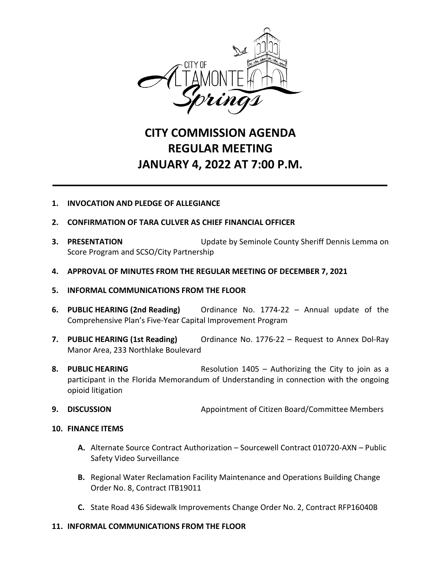

## **CITY COMMISSION AGENDA REGULAR MEETING JANUARY 4, 2022 AT 7:00 P.M.**

## **1. INVOCATION AND PLEDGE OF ALLEGIANCE**

- **2. CONFIRMATION OF TARA CULVER AS CHIEF FINANCIAL OFFICER**
- **3. PRESENTATION** Update by Seminole County Sheriff Dennis Lemma on Score Program and SCSO/City Partnership
- **4. APPROVAL OF MINUTES FROM THE REGULAR MEETING OF DECEMBER 7, 2021**
- **5. INFORMAL COMMUNICATIONS FROM THE FLOOR**
- **6. PUBLIC HEARING (2nd Reading)** Ordinance No. 1774-22 Annual update of the Comprehensive Plan's Five-Year Capital Improvement Program
- **7. PUBLIC HEARING (1st Reading)** Ordinance No. 1776-22 Request to Annex Dol-Ray Manor Area, 233 Northlake Boulevard
- **8. PUBLIC HEARING** Resolution 1405 Authorizing the City to join as a participant in the Florida Memorandum of Understanding in connection with the ongoing opioid litigation
- **9. DISCUSSION** Appointment of Citizen Board/Committee Members
- **10. FINANCE ITEMS**
	- **A.** Alternate Source Contract Authorization Sourcewell Contract 010720-AXN Public Safety Video Surveillance
	- **B.** Regional Water Reclamation Facility Maintenance and Operations Building Change Order No. 8, Contract ITB19011
	- **C.** State Road 436 Sidewalk Improvements Change Order No. 2, Contract RFP16040B

## **11. INFORMAL COMMUNICATIONS FROM THE FLOOR**